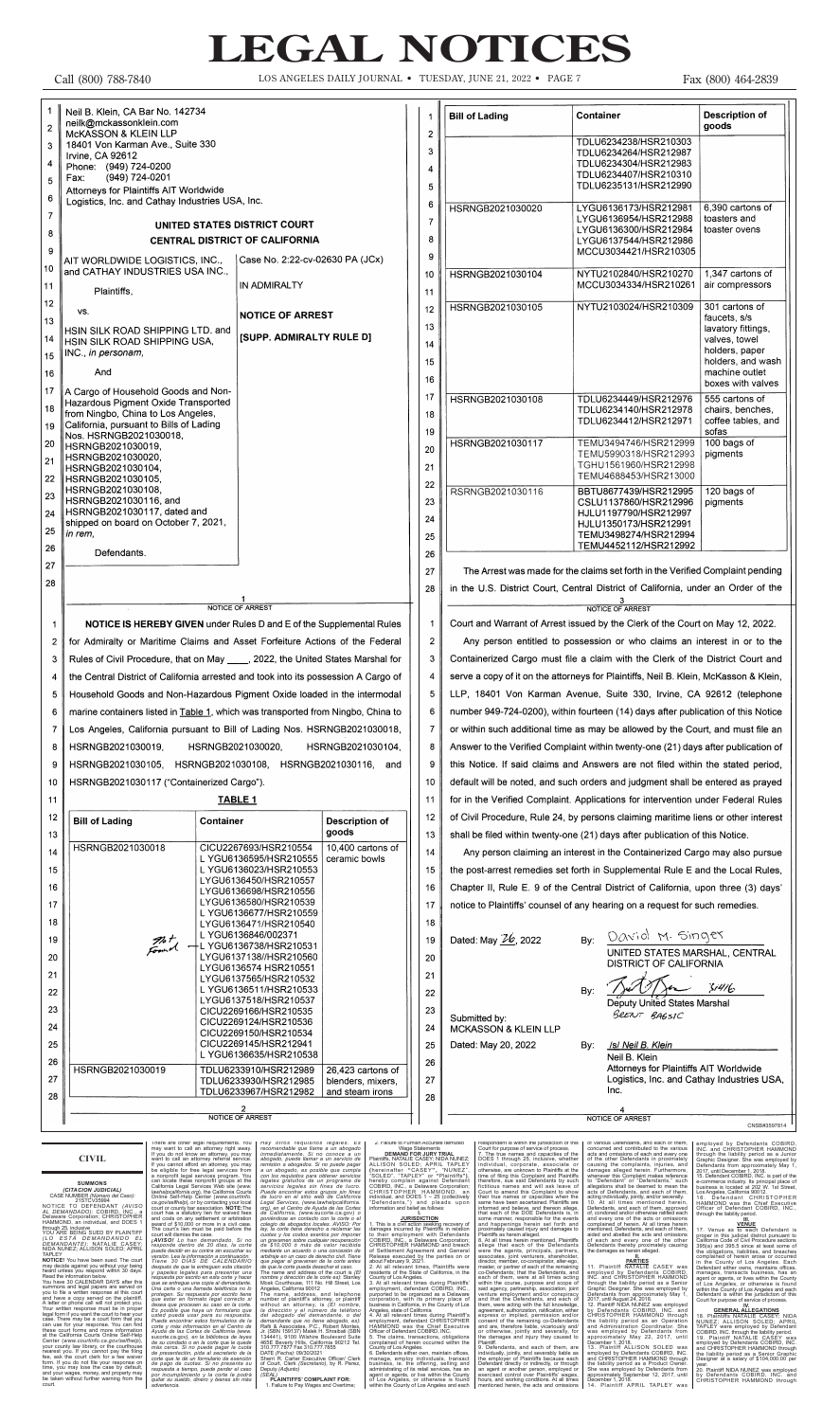# **CIVIL**

SUMMONS<br>
(CITACION JUDICIAL)<br>
CASE NUMBER (Número del Caso):<br>
21STCV35994<br>
NOTICE TO DEFENDANT (AVISO<br>
AL DEMANDADO): COBIRD, INC., a<br>
DEMANDADO): COBIRD, INC., a<br>
DENAWARE Corporation; CHRISTOPHER<br>
HAMMOND, an individual,

through 25, inclusive<br>YOU ARE BEING SUED BY PLAINTIFF<br>*(LO E* S TÁ *DEMANDANDO EL<br>DEMANDANTE): NATALIE CASEY;<br>NIDA NUNEZ; ALLISON SOLED; APRIL* 

TAPLEY **NOTICE!** You have been sued. The court may decide against you without your being heard unless you respond within 30 days. Read the information below. You have 30 CALENDAR DAYS after this

summons and legal papers are served on you to file a written response at this court and have a copy served on the plaintiff. A letter or phone call will not protect you. Your written response must be in proper legal form if you want the court to hear your case. There may be a court form that you can use for your response. You can find these court forms and more information at the California Courts Online Self-Help Center (www.courtinfo.ca.gov/selfhelp),<br>your county law library, or the courthouse<br>nearest you. If you cannot pay the filing<br>fee, ask the court clerk for a fee waiver<br>form. If you do not file your response on<br>time, you may and your wages, money, and property may be taken without further warning from the court.

There are other legal requirements. You may want to call an attomey right away, ff you do not know an attomey referal service. If you cannot afford an attomey spin may ff you cannot afford an attomey spin may ff you cannot

Hay otros requisitos legales. Es anteno encomendable que llame a un abogado inmediatamente. Si no conoce a un<br>antendable que llame a un servicio de termisión a abogados. Si no puede pagar<br>a un abogado, se posible que cumpl

2. Failure to Furnish Accurate Itemized<br>
to Furnish Accurate Itemized<br>
DEMAND FOR JURY TRIAL<br>
Plaintiffs, NATALIE CASEY, NIDA NUNCEZ,<br>
ALLISON SOLED; APRIL TAPLEY<br>
(hereinafter "CASEY", "NUNEZ",<br>
"SOLED", "TAPLEY" or "Plai

# 1. This is a civil action seeking recovery of<br>almages incurred by Plaintiffs in relation<br>to their employment with Defendants<br>CCBIRD, INC., a Delaware Corporation;<br>CCBIRD, INC., a Delaware Corporation;<br>G-RICENTIC FIRISTOPHE

Respondent is within the jurisdiction of this<br>Count for purpose of service of process.<br>7. The true names and capacities of the DOES 1 through 25, inclusive, whether<br>individual, corporate, associate or<br>individual, corporate

the employer of Plaintiffs because each<br>Defendant directly or indirectly, or through<br>an agent or another person, employed or<br>exercised control over Plaintiffs' wages,<br>hours, and working conditions. At all times<br>mentioned h

of various Defendants, and each of them,<br>concurred and contributed to the various<br>acts and omissions of each and every one<br>of the other Defendants in proximately<br>causing the complaints, injuries, and<br>damages alleged herein

11. Plaintiff NATALIE CASEY was<br>employed by Defendants COBIRD,<br>new proper and CHRISTOPHER HAMMOND<br>through the liability period as a Senior<br>Graphic Designer. She was employed by<br>Defendants from approximately May 1,<br>2017, un

employed by Defendants COBIRD,<br>INC. and CHRISTOPHER HAMMOND<br>through the liability period as a Junior<br>Graphic Designer. She was employed by<br>Defendants from approximately May 1,<br>2016.<br>15. Defendants from approximately May 1,

**IT.** Venue as **CENUE**<br> **COMPLE ACTIVE TOMOGRAFI** is<br>
proper in this judicial district pursuant to<br>
California Code of Civil Procedure sections<br>
395(a) and 395.5 since at least some of<br>
the obligations, liabilities, and br

**GENERAL ALLEGATIONS**<br>18. Plaintiffs NATALIE CASEY; AND<br>NUNEZ; ALLISON SOLED; APRIL<br>TAPLEY were employed by Defendant<br>TAPLEY were employed by Defendant<br>19. Plaintiff NATALIE CASEY was<br>employed by Defendants COBIRD, INC.<br>an

year. 20. Plaintiff NIDA NUNEZ was employed by Defendants COBIRD, INC. and CHRISTOPHER HAMMOND through

# **LEGAL NOTICES**

Call (800) 788-7840 LOS ANGELES DAILY JOURNAL •TUESDAY, JUNE 21, 2022 •PAGE 7 Fax (800) 464-2839

| $\overline{2}$            | Neil B. Klein, CA Bar No. 142734<br>neilk@mckassonklein.com                                                                                                     |                                                                         |                                                           |                     | <b>Bill of Lading</b>                                                                                                                                             | Container                                                               |                                                                                                  | <b>Description of</b><br>goods                                                               |
|---------------------------|-----------------------------------------------------------------------------------------------------------------------------------------------------------------|-------------------------------------------------------------------------|-----------------------------------------------------------|---------------------|-------------------------------------------------------------------------------------------------------------------------------------------------------------------|-------------------------------------------------------------------------|--------------------------------------------------------------------------------------------------|----------------------------------------------------------------------------------------------|
| $\mathbf{3}$              | MCKASSON & KLEIN LLP<br>18401 Von Karman Ave., Suite 330                                                                                                        |                                                                         | $\overline{c}$<br>3                                       |                     |                                                                                                                                                                   | TDLU6234238/HSR210303<br>TDLU6234264/HSR212987                          |                                                                                                  |                                                                                              |
| $\overline{\mathbf{4}}$   | Irvine, CA 92612<br>Phone: (949) 724-0200                                                                                                                       |                                                                         | 4                                                         |                     |                                                                                                                                                                   | TDLU6234304/HSR212983<br>TDLU6234407/HSR210310                          |                                                                                                  |                                                                                              |
| 5                         | (949) 724-0201<br>Fax:<br>Attorneys for Plaintiffs AIT Worldwide                                                                                                |                                                                         | 5                                                         |                     |                                                                                                                                                                   | TDLU6235131/HSR212990                                                   |                                                                                                  |                                                                                              |
| $\bf 6$<br>$\overline{7}$ | Logistics, Inc. and Cathay Industries USA, Inc.                                                                                                                 |                                                                         |                                                           | 6                   | HSRNGB2021030020                                                                                                                                                  |                                                                         | LYGU6136173/HSR212981                                                                            | 6,390 cartons of                                                                             |
| 8                         | UNITED STATES DISTRICT COURT<br><b>CENTRAL DISTRICT OF CALIFORNIA</b>                                                                                           |                                                                         | $\overline{7}$<br>8                                       |                     |                                                                                                                                                                   | LYGU6136954/HSR212988<br>LYGU6136300/HSR212984<br>LYGU6137544/HSR212986 | toasters and<br>toaster ovens                                                                    |                                                                                              |
| 9                         | AIT WORLDWIDE LOGISTICS, INC.,                                                                                                                                  | Case No. 2:22-cv-02630 PA (JCx)                                         |                                                           | 9                   |                                                                                                                                                                   |                                                                         | MCCU3034421/HSR210305                                                                            |                                                                                              |
| 10                        | and CATHAY INDUSTRIES USA INC.,                                                                                                                                 | IN ADMIRALTY                                                            |                                                           | 10                  | HSRNGB2021030104                                                                                                                                                  |                                                                         | NYTU2102840/HSR210270<br>MCCU3034334/HSR210261                                                   | 1,347 cartons of<br>air compressors                                                          |
| 11<br>12                  | Plaintiffs,                                                                                                                                                     |                                                                         |                                                           | 11                  |                                                                                                                                                                   |                                                                         | NYTU2103024/HSR210309                                                                            | 301 cartons of                                                                               |
| 13                        | VS.                                                                                                                                                             | <b>NOTICE OF ARREST</b>                                                 |                                                           | 12<br>13            | HSRNGB2021030105                                                                                                                                                  |                                                                         |                                                                                                  | faucets, s/s                                                                                 |
| 14<br>15                  | HSIN SILK ROAD SHIPPING LTD. and<br>HSIN SILK ROAD SHIPPING USA,<br>INC., in personam,                                                                          | [SUPP. ADMIRALTY RULE D]                                                |                                                           | 14<br>15            |                                                                                                                                                                   |                                                                         |                                                                                                  | lavatory fittings,<br>valves, towel<br>holders, paper<br>holders, and wash<br>machine outlet |
| 16<br>17                  | And<br>A Cargo of Household Goods and Non-                                                                                                                      |                                                                         |                                                           | 16                  |                                                                                                                                                                   |                                                                         |                                                                                                  | boxes with valves                                                                            |
| 18<br>19                  | <b>Hazardous Pigment Oxide Transported</b><br>from Ningbo, China to Los Angeles,<br>California, pursuant to Bills of Lading<br>Nos. HSRNGB2021030018,           |                                                                         |                                                           | 17<br>18<br>19      | HSRNGB2021030108                                                                                                                                                  |                                                                         | TDLU6234449/HSR212976<br>TDLU6234140/HSR212978<br>TDLU6234412/HSR212971                          | 555 cartons of<br>chairs, benches,<br>coffee tables, and<br>sofas                            |
| 20<br>21<br>22            | HSRNGB2021030019,<br>HSRNGB2021030020,<br>HSRNGB2021030104,<br>HSRNGB2021030105,                                                                                |                                                                         |                                                           | 20<br>21            | HSRNGB2021030117                                                                                                                                                  |                                                                         | TEMU3494746/HSR212999<br>TEMU5990318/HSR212993<br>TGHU1561960/HSR212998<br>TEMU4688453/HSR213000 | 100 bags of<br>pigments                                                                      |
| 23<br>24                  | HSRNGB2021030108,<br>HSRNGB2021030116, and<br>HSRNGB2021030117, dated and<br>shipped on board on October 7, 2021,                                               |                                                                         |                                                           | 22<br>23<br>24      | RSRNGB2021030116                                                                                                                                                  |                                                                         | BBTU8677439/HSR212995<br>CSLU1137860/HSR212996<br>HJLU1197790/HSR212997<br>HJLU1350173/HSR212991 | 120 bags of<br>pigments                                                                      |
| 25<br>26                  | in rem,                                                                                                                                                         |                                                                         |                                                           | 25                  |                                                                                                                                                                   |                                                                         | TEMU3498274/HSR212994<br>TEMU4452112/HSR212992                                                   |                                                                                              |
| 27                        | Defendants.                                                                                                                                                     |                                                                         |                                                           | 26<br>27            | The Arrest was made for the claims set forth in the Verified Complaint pending                                                                                    |                                                                         |                                                                                                  |                                                                                              |
| 28                        |                                                                                                                                                                 |                                                                         |                                                           | 28                  | in the U.S. District Court, Central District of California, under an Order of the                                                                                 |                                                                         |                                                                                                  |                                                                                              |
|                           | NOTICE OF ARREST                                                                                                                                                |                                                                         |                                                           |                     | <b>NOTICE OF ARREST</b>                                                                                                                                           |                                                                         |                                                                                                  |                                                                                              |
|                           | <b>NOTICE IS HEREBY GIVEN</b> under Rules D and E of the Supplemental Rules                                                                                     |                                                                         |                                                           | -1                  | Court and Warrant of Arrest issued by the Clerk of the Court on May 12, 2022.                                                                                     |                                                                         |                                                                                                  |                                                                                              |
| 2<br>3                    | for Admiralty or Maritime Claims and Asset Forfeiture Actions of the Federal<br>Rules of Civil Procedure, that on May ____, 2022, the United States Marshal for |                                                                         |                                                           | 2 <sup>1</sup>      | Any person entitled to possession or who claims an interest in or to the<br>Containerized Cargo must file a claim with the Clerk of the District Court and        |                                                                         |                                                                                                  |                                                                                              |
| 4                         | the Central District of California arrested and took into its possession A Cargo of                                                                             |                                                                         |                                                           | 3<br>$\overline{4}$ | serve a copy of it on the attorneys for Plaintiffs, Neil B. Klein, McKasson & Klein,                                                                              |                                                                         |                                                                                                  |                                                                                              |
| 5                         | Household Goods and Non-Hazardous Pigment Oxide loaded in the intermodal                                                                                        |                                                                         |                                                           | 5                   | LLP, 18401 Von Karman Avenue, Suite 330, Irvine, CA 92612 (telephone                                                                                              |                                                                         |                                                                                                  |                                                                                              |
| 6                         | marine containers listed in Table 1, which was transported from Ningbo, China to                                                                                |                                                                         |                                                           | 6                   | number 949-724-0200), within fourteen (14) days after publication of this Notice                                                                                  |                                                                         |                                                                                                  |                                                                                              |
|                           | Los Angeles, California pursuant to Bill of Lading Nos. HSRNGB2021030018,                                                                                       |                                                                         |                                                           | 7                   | or within such additional time as may be allowed by the Court, and must file an                                                                                   |                                                                         |                                                                                                  |                                                                                              |
| 8<br>9                    | HSRNGB2021030020,<br>HSRNGB2021030019,<br>HSRNGB2021030104,<br>HSRNGB2021030108, HSRNGB2021030116,<br>HSRNGB2021030105,<br>and                                  |                                                                         |                                                           | 8<br>9              | Answer to the Verified Complaint within twenty-one (21) days after publication of                                                                                 |                                                                         |                                                                                                  |                                                                                              |
| 10                        | HSRNGB2021030117 ("Containerized Cargo").                                                                                                                       |                                                                         |                                                           | 10                  | this Notice. If said claims and Answers are not filed within the stated period,<br>default will be noted, and such orders and judgment shall be entered as prayed |                                                                         |                                                                                                  |                                                                                              |
| 11                        | <b>TABLE 1</b>                                                                                                                                                  |                                                                         |                                                           | 11                  | for in the Verified Complaint. Applications for intervention under Federal Rules                                                                                  |                                                                         |                                                                                                  |                                                                                              |
| 12<br>13                  | <b>Bill of Lading</b><br><b>Container</b>                                                                                                                       |                                                                         | <b>Description of</b><br>goods                            | 12<br>13            | of Civil Procedure, Rule 24, by persons claiming maritime liens or other interest<br>shall be filed within twenty-one (21) days after publication of this Notice. |                                                                         |                                                                                                  |                                                                                              |
| 14                        | HSRNGB2021030018                                                                                                                                                | CICU2267693/HSR210554<br>L YGU6136595/HSR210555                         | 10,400 cartons of<br>ceramic bowls                        | 14                  | Any person claiming an interest in the Containerized Cargo may also pursue                                                                                        |                                                                         |                                                                                                  |                                                                                              |
| 15                        |                                                                                                                                                                 | L YGU6136023/HSR210553<br>LYGU6136450/HSR210557                         |                                                           | 15                  | the post-arrest remedies set forth in Supplemental Rule E and the Local Rules,                                                                                    |                                                                         |                                                                                                  |                                                                                              |
| 16                        |                                                                                                                                                                 | LYGU6136698/HSR210556<br>LYGU6136580/HSR210539                          |                                                           | 16                  | Chapter II, Rule E. 9 of the Central District of California, upon three (3) days'                                                                                 |                                                                         |                                                                                                  |                                                                                              |
| 17<br>18                  |                                                                                                                                                                 | L YGU6136677/HSR210559<br>LYGU6136471/HSR210540                         |                                                           | 17<br>18            | notice to Plaintiffs' counsel of any hearing on a request for such remedies.                                                                                      |                                                                         |                                                                                                  |                                                                                              |
| 19                        | not<br>Fornal                                                                                                                                                   | L YGU6136846/002371<br>- L YGU6136738/HSR210531                         |                                                           | 19                  | Dated: May 26, 2022                                                                                                                                               | By:                                                                     | David M. Singer                                                                                  |                                                                                              |
| 20<br>21                  |                                                                                                                                                                 | LYGU6137138//HSR210560<br>LYGU6136574 HSR210551                         |                                                           | 20<br>21            |                                                                                                                                                                   |                                                                         | UNITED STATES MARSHAL, CENTRAL<br><b>DISTRICT OF CALIFORNIA</b>                                  |                                                                                              |
| 22                        |                                                                                                                                                                 | LYGU6137565/HSR210532<br>L YGU6136511/HSR210533                         |                                                           | 22                  |                                                                                                                                                                   | By:                                                                     |                                                                                                  | 31416                                                                                        |
| 23                        |                                                                                                                                                                 | LYGU6137518/HSR210537<br>CICU2269166/HSR210535                          |                                                           | 23                  | Submitted by:                                                                                                                                                     |                                                                         | <b>Deputy United States Marshal</b><br>SRENT BAGSIC                                              |                                                                                              |
| 24                        |                                                                                                                                                                 | CICU2269124/HSR210536<br>CICU2269150/HSR210534                          |                                                           | 24                  | MCKASSON & KLEIN LLP                                                                                                                                              |                                                                         |                                                                                                  |                                                                                              |
| 25<br>26                  |                                                                                                                                                                 | CICU2269145/HSR212941<br>LYGU6136635/HSR210538                          |                                                           | 25<br>26            | Dated: May 20, 2022                                                                                                                                               | By:                                                                     | Isl Neil B. Klein<br>Neil B. Klein                                                               |                                                                                              |
| 27<br>28                  | HSRNGB2021030019                                                                                                                                                | TDLU6233910/HSR212989<br>TDLU6233930/HSR212985<br>TDLU6233967/HSR212982 | 26,423 cartons of<br>blenders, mixers,<br>and steam irons | 27<br>28            |                                                                                                                                                                   |                                                                         | Attorneys for Plaintiffs AIT Worldwide<br>Logistics, Inc. and Cathay Industries USA,<br>Inc.     |                                                                                              |
|                           | 2<br><b>NOTICE OF ARREST</b>                                                                                                                                    |                                                                         |                                                           |                     | <b>NOTICE OF ARREST</b><br>CNSB#3597814                                                                                                                           |                                                                         |                                                                                                  |                                                                                              |